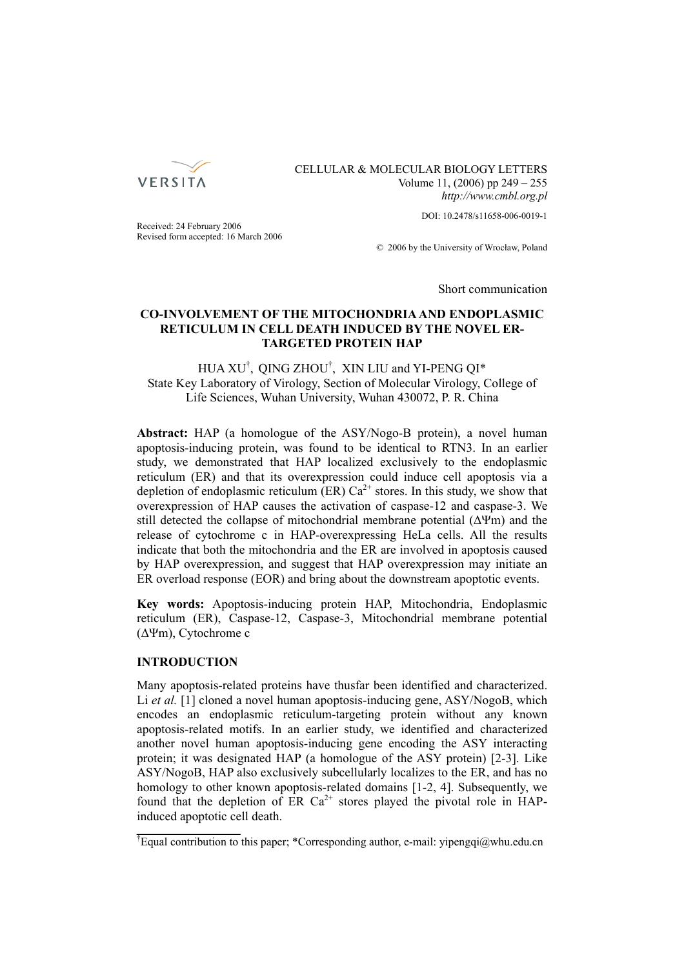

CELLULAR & MOLECULAR BIOLOGY LETTERS Volume 11, (2006) pp 249 – 255 *http://www.cmbl.org.pl* 

DOI: 10.2478/s11658-006-0019-1

Received: 24 February 2006 Revised form accepted: 16 March 2006

© 2006 by the University of Wrocław, Poland

Short communication

## **CO-INVOLVEMENT OF THE MITOCHONDRIA AND ENDOPLASMIC RETICULUM IN CELL DEATH INDUCED BY THE NOVEL ER-TARGETED PROTEIN HAP**

HUA XU† , QING ZHOU† , XIN LIU and YI-PENG QI\* State Key Laboratory of Virology, Section of Molecular Virology, College of Life Sciences, Wuhan University, Wuhan 430072, P. R. China

**Abstract:** HAP (a homologue of the ASY/Nogo-B protein), a novel human apoptosis-inducing protein, was found to be identical to RTN3. In an earlier study, we demonstrated that HAP localized exclusively to the endoplasmic reticulum (ER) and that its overexpression could induce cell apoptosis via a depletion of endoplasmic reticulum  $(ER) Ca<sup>2+</sup>$  stores. In this study, we show that overexpression of HAP causes the activation of caspase-12 and caspase-3. We still detected the collapse of mitochondrial membrane potential (ΔΨm) and the release of cytochrome c in HAP-overexpressing HeLa cells. All the results indicate that both the mitochondria and the ER are involved in apoptosis caused by HAP overexpression, and suggest that HAP overexpression may initiate an ER overload response (EOR) and bring about the downstream apoptotic events.

**Key words:** Apoptosis-inducing protein HAP, Mitochondria, Endoplasmic reticulum (ER), Caspase-12, Caspase-3, Mitochondrial membrane potential (ΔΨm), Cytochrome c

# **INTRODUCTION**

Many apoptosis-related proteins have thusfar been identified and characterized. Li *et al.* [1] cloned a novel human apoptosis-inducing gene, ASY/NogoB, which encodes an endoplasmic reticulum-targeting protein without any known apoptosis-related motifs. In an earlier study, we identified and characterized another novel human apoptosis-inducing gene encoding the ASY interacting protein; it was designated HAP (a homologue of the ASY protein) [2-3]. Like ASY/NogoB, HAP also exclusively subcellularly localizes to the ER, and has no homology to other known apoptosis-related domains [1-2, 4]. Subsequently, we found that the depletion of  $ER Ca<sup>2+</sup>$  stores played the pivotal role in HAPinduced apoptotic cell death.

<sup>&</sup>lt;sup>†</sup>Equal contribution to this paper; \*Corresponding author, e-mail: yipengqi@whu.edu.cn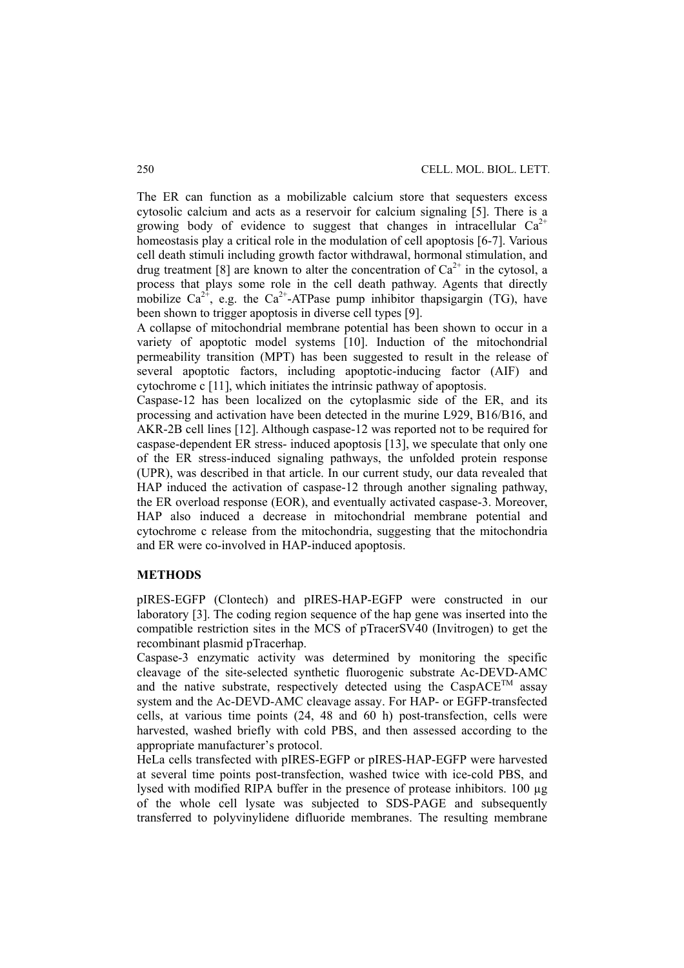The ER can function as a mobilizable calcium store that sequesters excess cytosolic calcium and acts as a reservoir for calcium signaling [5]. There is a growing body of evidence to suggest that changes in intracellular  $Ca^{2+}$ homeostasis play a critical role in the modulation of cell apoptosis [6-7]. Various cell death stimuli including growth factor withdrawal, hormonal stimulation, and drug treatment [8] are known to alter the concentration of  $Ca^{2+}$  in the cytosol, a process that plays some role in the cell death pathway. Agents that directly mobilize  $Ca^{2+}$ , e.g. the  $Ca^{2+}-ATP$ ase pump inhibitor thapsigargin (TG), have been shown to trigger apoptosis in diverse cell types [9].

A collapse of mitochondrial membrane potential has been shown to occur in a variety of apoptotic model systems [10]. Induction of the mitochondrial permeability transition (MPT) has been suggested to result in the release of several apoptotic factors, including apoptotic-inducing factor (AIF) and cytochrome c [11], which initiates the intrinsic pathway of apoptosis.

Caspase-12 has been localized on the cytoplasmic side of the ER, and its processing and activation have been detected in the murine L929, B16/B16, and AKR-2B cell lines [12]. Although caspase-12 was reported not to be required for caspase-dependent ER stress- induced apoptosis [13], we speculate that only one of the ER stress-induced signaling pathways, the unfolded protein response (UPR), was described in that article. In our current study, our data revealed that HAP induced the activation of caspase-12 through another signaling pathway, the ER overload response (EOR), and eventually activated caspase-3. Moreover, HAP also induced a decrease in mitochondrial membrane potential and cytochrome c release from the mitochondria, suggesting that the mitochondria and ER were co-involved in HAP-induced apoptosis.

### **METHODS**

pIRES-EGFP (Clontech) and pIRES-HAP-EGFP were constructed in our laboratory [3]. The coding region sequence of the hap gene was inserted into the compatible restriction sites in the MCS of pTracerSV40 (Invitrogen) to get the recombinant plasmid pTracerhap.

Caspase-3 enzymatic activity was determined by monitoring the specific cleavage of the site-selected synthetic fluorogenic substrate Ac-DEVD-AMC and the native substrate, respectively detected using the  $\text{Cas } \Omega \subset \mathbb{R}^m$  assay system and the Ac-DEVD-AMC cleavage assay. For HAP- or EGFP-transfected cells, at various time points (24, 48 and 60 h) post-transfection, cells were harvested, washed briefly with cold PBS, and then assessed according to the appropriate manufacturer's protocol.

HeLa cells transfected with pIRES-EGFP or pIRES-HAP-EGFP were harvested at several time points post-transfection, washed twice with ice-cold PBS, and lysed with modified RIPA buffer in the presence of protease inhibitors. 100 µg of the whole cell lysate was subjected to SDS-PAGE and subsequently transferred to polyvinylidene difluoride membranes. The resulting membrane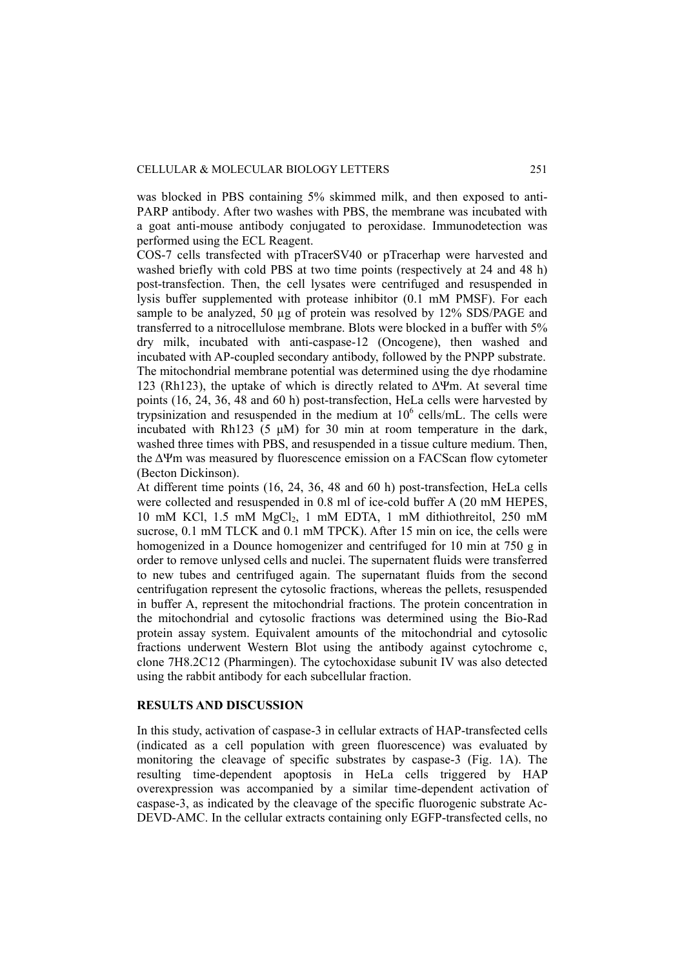was blocked in PBS containing 5% skimmed milk, and then exposed to anti-PARP antibody. After two washes with PBS, the membrane was incubated with a goat anti-mouse antibody conjugated to peroxidase. Immunodetection was performed using the ECL Reagent.

COS-7 cells transfected with pTracerSV40 or pTracerhap were harvested and washed briefly with cold PBS at two time points (respectively at 24 and 48 h) post-transfection. Then, the cell lysates were centrifuged and resuspended in lysis buffer supplemented with protease inhibitor (0.1 mM PMSF). For each sample to be analyzed, 50 µg of protein was resolved by 12% SDS/PAGE and transferred to a nitrocellulose membrane. Blots were blocked in a buffer with 5% dry milk, incubated with anti-caspase-12 (Oncogene), then washed and incubated with AP-coupled secondary antibody, followed by the PNPP substrate. The mitochondrial membrane potential was determined using the dye rhodamine 123 (Rh123), the uptake of which is directly related to ΔΨm. At several time points (16, 24, 36, 48 and 60 h) post-transfection, HeLa cells were harvested by trypsinization and resuspended in the medium at  $10^6$  cells/mL. The cells were incubated with Rh123 (5  $\mu$ M) for 30 min at room temperature in the dark, washed three times with PBS, and resuspended in a tissue culture medium. Then, the ΔΨm was measured by fluorescence emission on a FACScan flow cytometer (Becton Dickinson).

At different time points (16, 24, 36, 48 and 60 h) post-transfection, HeLa cells were collected and resuspended in 0.8 ml of ice-cold buffer A (20 mM HEPES, 10 mM KCl, 1.5 mM  $MgCl<sub>2</sub>$ , 1 mM EDTA, 1 mM dithiothreitol, 250 mM sucrose,  $0.1$  mM TLCK and  $0.1$  mM TPCK). After 15 min on ice, the cells were homogenized in a Dounce homogenizer and centrifuged for 10 min at 750 g in order to remove unlysed cells and nuclei. The supernatent fluids were transferred to new tubes and centrifuged again. The supernatant fluids from the second centrifugation represent the cytosolic fractions, whereas the pellets, resuspended in buffer A, represent the mitochondrial fractions. The protein concentration in the mitochondrial and cytosolic fractions was determined using the Bio-Rad protein assay system. Equivalent amounts of the mitochondrial and cytosolic fractions underwent Western Blot using the antibody against cytochrome c, clone 7H8.2C12 (Pharmingen). The cytochoxidase subunit IV was also detected using the rabbit antibody for each subcellular fraction.

### **RESULTS AND DISCUSSION**

In this study, activation of caspase-3 in cellular extracts of HAP-transfected cells (indicated as a cell population with green fluorescence) was evaluated by monitoring the cleavage of specific substrates by caspase-3 (Fig. 1A). The resulting time-dependent apoptosis in HeLa cells triggered by HAP overexpression was accompanied by a similar time-dependent activation of caspase-3, as indicated by the cleavage of the specific fluorogenic substrate Ac-DEVD-AMC. In the cellular extracts containing only EGFP-transfected cells, no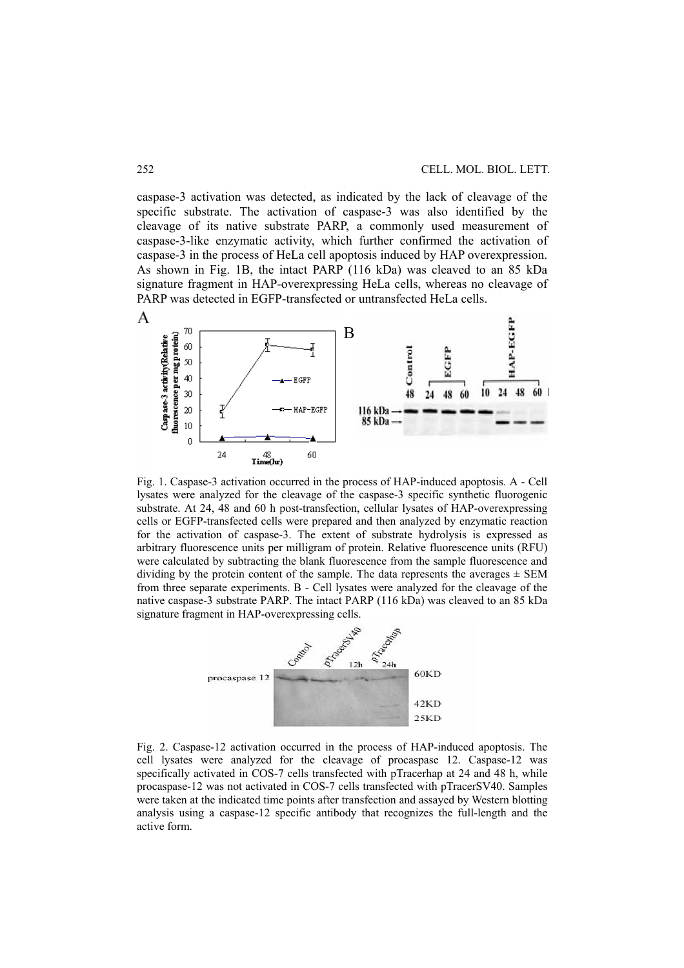caspase-3 activation was detected, as indicated by the lack of cleavage of the specific substrate. The activation of caspase-3 was also identified by the cleavage of its native substrate PARP, a commonly used measurement of caspase-3-like enzymatic activity, which further confirmed the activation of caspase-3 in the process of HeLa cell apoptosis induced by HAP overexpression. As shown in Fig. 1B, the intact PARP (116 kDa) was cleaved to an 85 kDa signature fragment in HAP-overexpressing HeLa cells, whereas no cleavage of PARP was detected in EGFP-transfected or untransfected HeLa cells.



Fig. 1. Caspase-3 activation occurred in the process of HAP-induced apoptosis. A - Cell lysates were analyzed for the cleavage of the caspase-3 specific synthetic fluorogenic substrate. At 24, 48 and 60 h post-transfection, cellular lysates of HAP-overexpressing cells or EGFP-transfected cells were prepared and then analyzed by enzymatic reaction for the activation of caspase-3. The extent of substrate hydrolysis is expressed as arbitrary fluorescence units per milligram of protein. Relative fluorescence units (RFU) were calculated by subtracting the blank fluorescence from the sample fluorescence and dividing by the protein content of the sample. The data represents the averages  $\pm$  SEM from three separate experiments. B - Cell lysates were analyzed for the cleavage of the native caspase-3 substrate PARP. The intact PARP (116 kDa) was cleaved to an 85 kDa signature fragment in HAP-overexpressing cells.



Fig. 2. Caspase-12 activation occurred in the process of HAP-induced apoptosis. The cell lysates were analyzed for the cleavage of procaspase 12. Caspase-12 was specifically activated in COS-7 cells transfected with pTracerhap at 24 and 48 h, while procaspase-12 was not activated in COS-7 cells transfected with pTracerSV40. Samples were taken at the indicated time points after transfection and assayed by Western blotting analysis using a caspase-12 specific antibody that recognizes the full-length and the active form.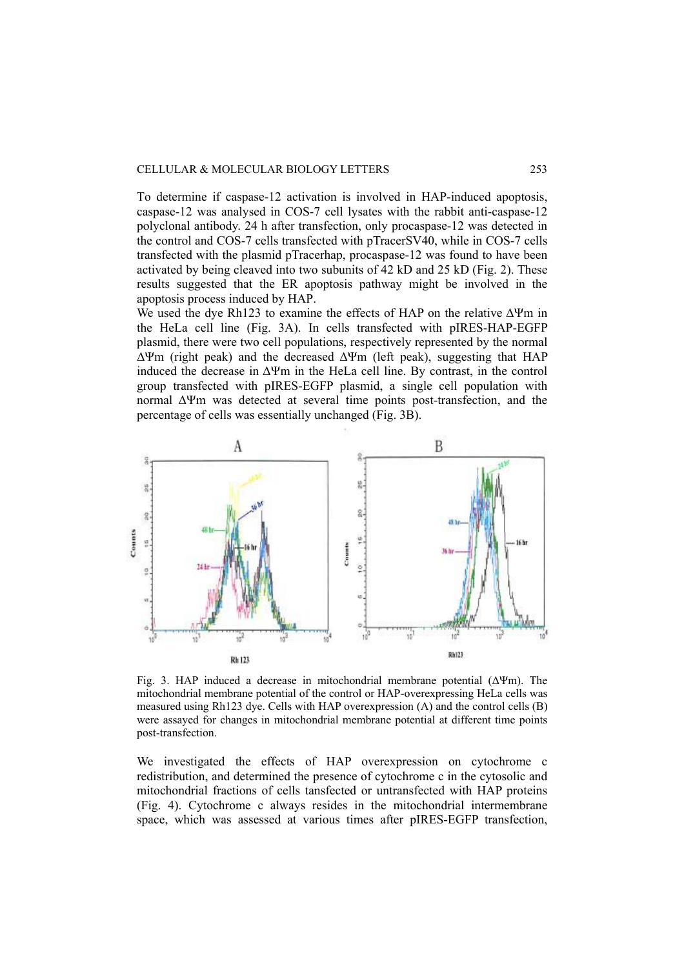#### CELLULAR & MOLECULAR BIOLOGY LETTERS 253

To determine if caspase-12 activation is involved in HAP-induced apoptosis, caspase-12 was analysed in COS-7 cell lysates with the rabbit anti-caspase-12 polyclonal antibody. 24 h after transfection, only procaspase-12 was detected in the control and COS-7 cells transfected with pTracerSV40, while in COS-7 cells transfected with the plasmid pTracerhap, procaspase-12 was found to have been activated by being cleaved into two subunits of 42 kD and 25 kD (Fig. 2). These results suggested that the ER apoptosis pathway might be involved in the apoptosis process induced by HAP.

We used the dye Rh123 to examine the effects of HAP on the relative ΔΨm in the HeLa cell line (Fig. 3A). In cells transfected with pIRES-HAP-EGFP plasmid, there were two cell populations, respectively represented by the normal ΔΨm (right peak) and the decreased ΔΨm (left peak), suggesting that HAP induced the decrease in ΔΨm in the HeLa cell line. By contrast, in the control group transfected with pIRES-EGFP plasmid, a single cell population with normal ΔΨm was detected at several time points post-transfection, and the percentage of cells was essentially unchanged (Fig. 3B).



Fig. 3. HAP induced a decrease in mitochondrial membrane potential  $(\Delta \Psi m)$ . The mitochondrial membrane potential of the control or HAP-overexpressing HeLa cells was measured using Rh123 dye. Cells with HAP overexpression (A) and the control cells (B) were assayed for changes in mitochondrial membrane potential at different time points post-transfection.

We investigated the effects of HAP overexpression on cytochrome c redistribution, and determined the presence of cytochrome c in the cytosolic and mitochondrial fractions of cells tansfected or untransfected with HAP proteins (Fig. 4). Cytochrome c always resides in the mitochondrial intermembrane space, which was assessed at various times after pIRES-EGFP transfection,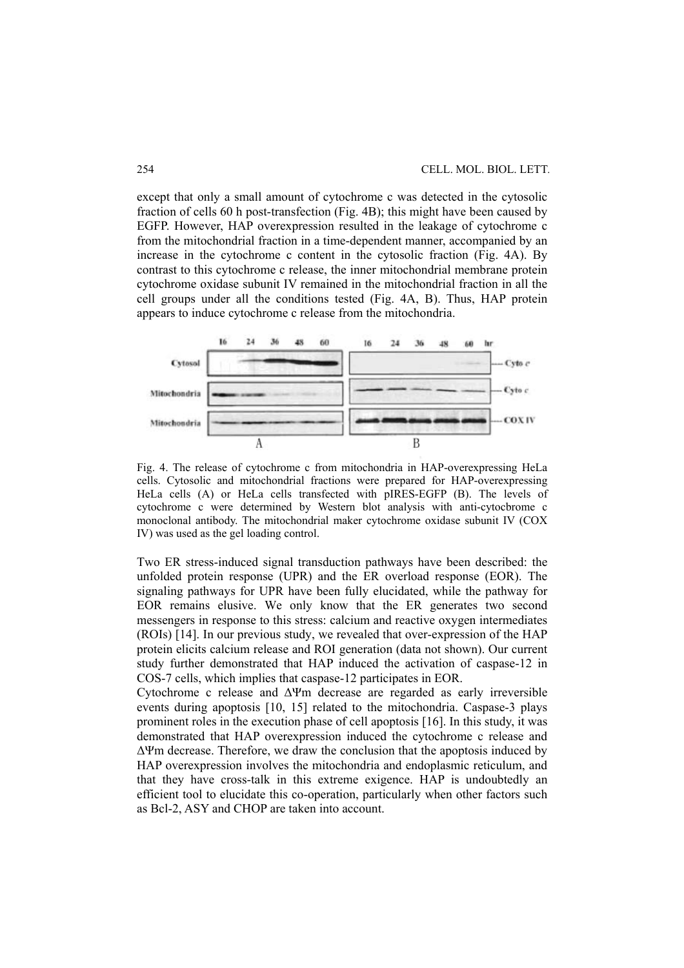except that only a small amount of cytochrome c was detected in the cytosolic fraction of cells 60 h post-transfection (Fig. 4B); this might have been caused by EGFP. However, HAP overexpression resulted in the leakage of cytochrome c from the mitochondrial fraction in a time-dependent manner, accompanied by an increase in the cytochrome c content in the cytosolic fraction (Fig. 4A). By contrast to this cytochrome c release, the inner mitochondrial membrane protein cytochrome oxidase subunit IV remained in the mitochondrial fraction in all the cell groups under all the conditions tested (Fig. 4A, B). Thus, HAP protein appears to induce cytochrome c release from the mitochondria.



Fig. 4. The release of cytochrome c from mitochondria in HAP-overexpressing HeLa cells. Cytosolic and mitochondrial fractions were prepared for HAP-overexpressing HeLa cells (A) or HeLa cells transfected with pIRES-EGFP (B). The levels of cytochrome c were determined by Western blot analysis with anti-cytocbrome c monoclonal antibody. The mitochondrial maker cytochrome oxidase subunit IV (COX IV) was used as the gel loading control.

Two ER stress-induced signal transduction pathways have been described: the unfolded protein response (UPR) and the ER overload response (EOR). The signaling pathways for UPR have been fully elucidated, while the pathway for EOR remains elusive. We only know that the ER generates two second messengers in response to this stress: calcium and reactive oxygen intermediates (ROIs) [14]. In our previous study, we revealed that over-expression of the HAP protein elicits calcium release and ROI generation (data not shown). Our current study further demonstrated that HAP induced the activation of caspase-12 in COS-7 cells, which implies that caspase-12 participates in EOR.

Cytochrome c release and ΔΨm decrease are regarded as early irreversible events during apoptosis [10, 15] related to the mitochondria. Caspase-3 plays prominent roles in the execution phase of cell apoptosis [16]. In this study, it was demonstrated that HAP overexpression induced the cytochrome c release and ΔΨm decrease. Therefore, we draw the conclusion that the apoptosis induced by HAP overexpression involves the mitochondria and endoplasmic reticulum, and that they have cross-talk in this extreme exigence. HAP is undoubtedly an efficient tool to elucidate this co-operation, particularly when other factors such as Bcl-2, ASY and CHOP are taken into account.